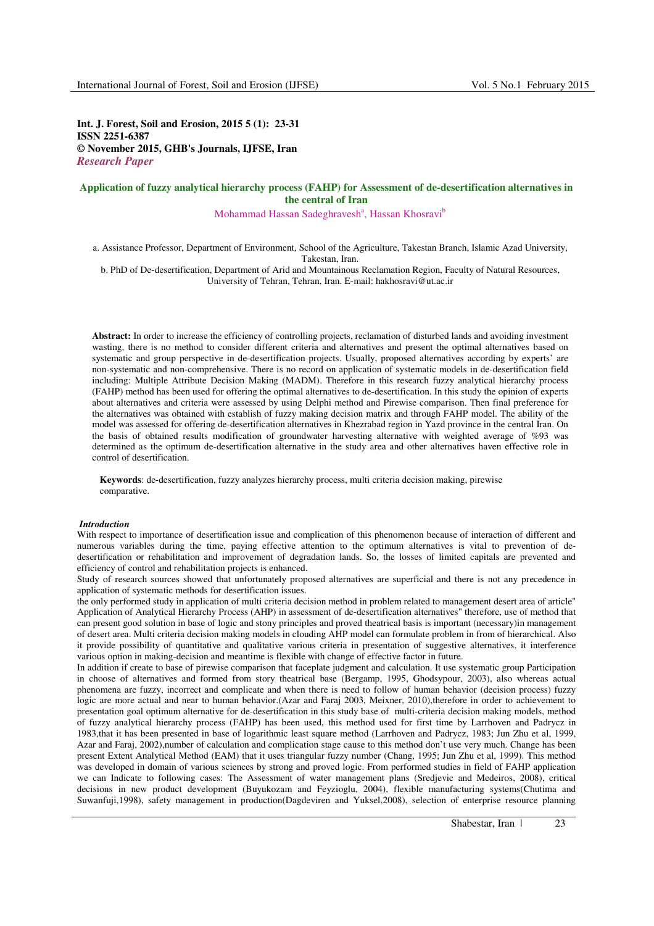**Int. J. Forest, Soil and Erosion, 2015 5 (1): 23-31 ISSN 2251-6387 © November 2015, GHB's Journals, IJFSE, Iran**  *Research Paper* 

# **Application of fuzzy analytical hierarchy process (FAHP) for Assessment of de-desertification alternatives in the central of Iran**

Mohammad Hassan Sadeghravesh<sup>a</sup>, Hassan Khosravi<sup>b</sup>

a. Assistance Professor, Department of Environment, School of the Agriculture, Takestan Branch, Islamic Azad University, Takestan, Iran.

b. PhD of De-desertification, Department of Arid and Mountainous Reclamation Region, Faculty of Natural Resources, University of Tehran, Tehran, Iran. E-mail: hakhosravi@ut.ac.ir

**Abstract:** In order to increase the efficiency of controlling projects, reclamation of disturbed lands and avoiding investment wasting, there is no method to consider different criteria and alternatives and present the optimal alternatives based on systematic and group perspective in de-desertification projects. Usually, proposed alternatives according by experts' are non-systematic and non-comprehensive. There is no record on application of systematic models in de-desertification field including: Multiple Attribute Decision Making (MADM). Therefore in this research fuzzy analytical hierarchy process (FAHP) method has been used for offering the optimal alternatives to de-desertification. In this study the opinion of experts about alternatives and criteria were assessed by using Delphi method and Pirewise comparison. Then final preference for the alternatives was obtained with establish of fuzzy making decision matrix and through FAHP model. The ability of the model was assessed for offering de-desertification alternatives in Khezrabad region in Yazd province in the central Iran. On the basis of obtained results modification of groundwater harvesting alternative with weighted average of %93 was determined as the optimum de-desertification alternative in the study area and other alternatives haven effective role in control of desertification.

**Keywords**: de-desertification, fuzzy analyzes hierarchy process, multi criteria decision making, pirewise comparative.

## *Introduction*

With respect to importance of desertification issue and complication of this phenomenon because of interaction of different and numerous variables during the time, paying effective attention to the optimum alternatives is vital to prevention of dedesertification or rehabilitation and improvement of degradation lands. So, the losses of limited capitals are prevented and efficiency of control and rehabilitation projects is enhanced.

Study of research sources showed that unfortunately proposed alternatives are superficial and there is not any precedence in application of systematic methods for desertification issues.

the only performed study in application of multi criteria decision method in problem related to management desert area of article" Application of Analytical Hierarchy Process (AHP) in assessment of de-desertification alternatives" therefore, use of method that can present good solution in base of logic and stony principles and proved theatrical basis is important (necessary)in management of desert area. Multi criteria decision making models in clouding AHP model can formulate problem in from of hierarchical. Also it provide possibility of quantitative and qualitative various criteria in presentation of suggestive alternatives, it interference various option in making-decision and meantime is flexible with change of effective factor in future.

In addition if create to base of pirewise comparison that faceplate judgment and calculation. It use systematic group Participation in choose of alternatives and formed from story theatrical base (Bergamp, 1995, Ghodsypour, 2003), also whereas actual phenomena are fuzzy, incorrect and complicate and when there is need to follow of human behavior (decision process) fuzzy logic are more actual and near to human behavior.(Azar and Faraj 2003, Meixner, 2010),therefore in order to achievement to presentation goal optimum alternative for de-desertification in this study base of multi-criteria decision making models, method of fuzzy analytical hierarchy process (FAHP) has been used, this method used for first time by Larrhoven and Padrycz in 1983,that it has been presented in base of logarithmic least square method (Larrhoven and Padrycz, 1983; Jun Zhu et al, 1999, Azar and Faraj, 2002),number of calculation and complication stage cause to this method don't use very much. Change has been present Extent Analytical Method (EAM) that it uses triangular fuzzy number (Chang, 1995; Jun Zhu et al, 1999). This method was developed in domain of various sciences by strong and proved logic. From performed studies in field of FAHP application we can Indicate to following cases: The Assessment of water management plans (Sredjevic and Medeiros, 2008), critical decisions in new product development (Buyukozam and Feyzioglu, 2004), flexible manufacturing systems(Chutima and Suwanfuji,1998), safety management in production(Dagdeviren and Yuksel,2008), selection of enterprise resource planning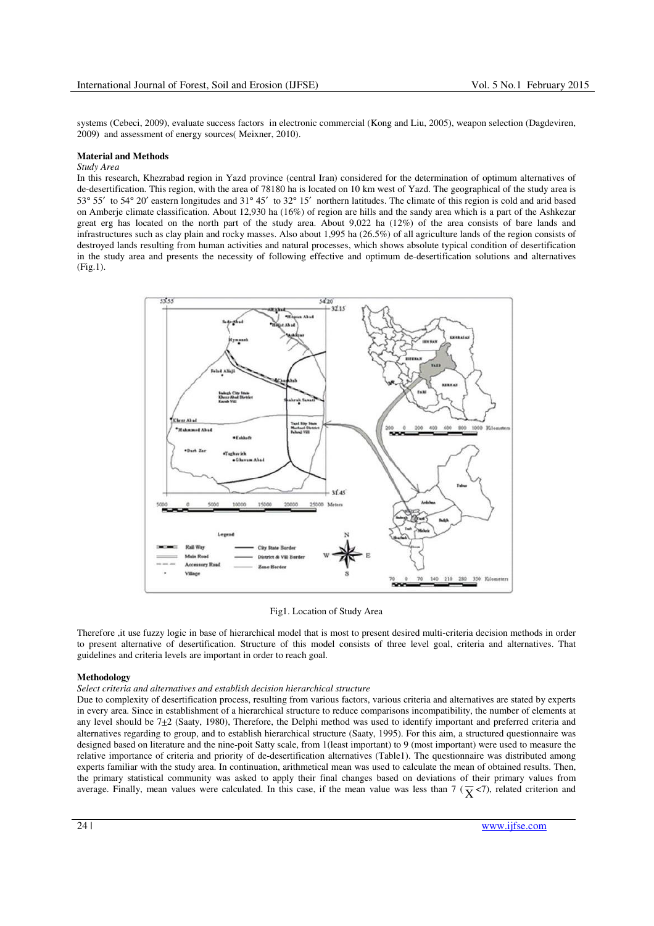systems (Cebeci, 2009), evaluate success factors in electronic commercial (Kong and Liu, 2005), weapon selection (Dagdeviren, 2009) and assessment of energy sources( Meixner, 2010).

#### **Material and Methods**

# *Study Area*

In this research, Khezrabad region in Yazd province (central Iran) considered for the determination of optimum alternatives of de-desertification. This region, with the area of 78180 ha is located on 10 km west of Yazd. The geographical of the study area is 53° 55′ to 54° 20′ eastern longitudes and 31° 45′ to 32° 15′ northern latitudes. The climate of this region is cold and arid based on Amberje climate classification. About 12,930 ha (16%) of region are hills and the sandy area which is a part of the Ashkezar great erg has located on the north part of the study area. About 9,022 ha (12%) of the area consists of bare lands and infrastructures such as clay plain and rocky masses. Also about 1,995 ha (26.5%) of all agriculture lands of the region consists of destroyed lands resulting from human activities and natural processes, which shows absolute typical condition of desertification in the study area and presents the necessity of following effective and optimum de-desertification solutions and alternatives (Fig.1).



Fig1. Location of Study Area

Therefore ,it use fuzzy logic in base of hierarchical model that is most to present desired multi-criteria decision methods in order to present alternative of desertification. Structure of this model consists of three level goal, criteria and alternatives. That guidelines and criteria levels are important in order to reach goal.

## **Methodology**

## *Select criteria and alternatives and establish decision hierarchical structure*

Due to complexity of desertification process, resulting from various factors, various criteria and alternatives are stated by experts in every area. Since in establishment of a hierarchical structure to reduce comparisons incompatibility, the number of elements at any level should be  $7\pm2$  (Saaty, 1980), Therefore, the Delphi method was used to identify important and preferred criteria and alternatives regarding to group, and to establish hierarchical structure (Saaty, 1995). For this aim, a structured questionnaire was designed based on literature and the nine-poit Satty scale, from 1(least important) to 9 (most important) were used to measure the relative importance of criteria and priority of de-desertification alternatives (Table1). The questionnaire was distributed among experts familiar with the study area. In continuation, arithmetical mean was used to calculate the mean of obtained results. Then, the primary statistical community was asked to apply their final changes based on deviations of their primary values from average. Finally, mean values were calculated. In this case, if the mean value was less than  $7 \times 7$ , related criterion and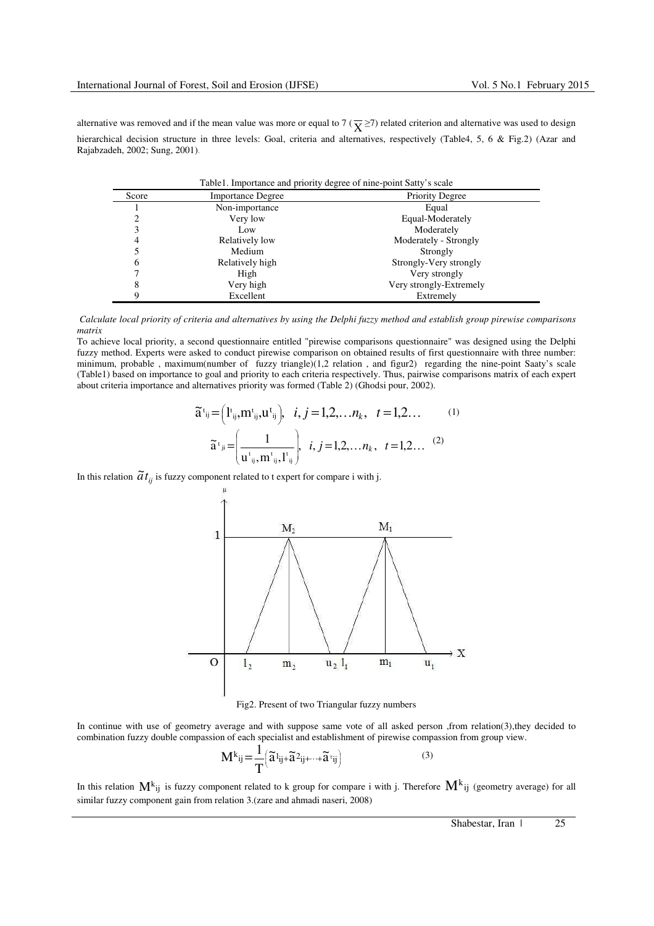alternative was removed and if the mean value was more or equal to 7 ( $\overline{X}$   $\geq$ 7) related criterion and alternative was used to design hierarchical decision structure in three levels: Goal, criteria and alternatives, respectively (Table4, 5, 6 & Fig.2) (Azar and Rajabzadeh, 2002; Sung, 2001).

| Score | Table 1. Importance and priority degree of nine-point Satty's scale<br><b>Importance Degree</b> | <b>Priority Degree</b>  |
|-------|-------------------------------------------------------------------------------------------------|-------------------------|
|       | Non-importance                                                                                  | Equal                   |
|       | Very low                                                                                        | Equal-Moderately        |
|       | Low                                                                                             | Moderately              |
| 4     | Relatively low                                                                                  | Moderately - Strongly   |
|       | Medium                                                                                          | Strongly                |
| 6     | Relatively high                                                                                 | Strongly-Very strongly  |
|       | High                                                                                            | Very strongly           |
| 8     | Very high                                                                                       | Very strongly-Extremely |
| Q     | Excellent                                                                                       | Extremely               |

 *Calculate local priority of criteria and alternatives by using the Delphi fuzzy method and establish group pirewise comparisons matrix* 

To achieve local priority, a second questionnaire entitled "pirewise comparisons questionnaire" was designed using the Delphi fuzzy method. Experts were asked to conduct pirewise comparison on obtained results of first questionnaire with three number: minimum, probable, maximum(number of fuzzy triangle)(1,2 relation, and figur2) regarding the nine-point Saaty's scale (Table1) based on importance to goal and priority to each criteria respectively. Thus, pairwise comparisons matrix of each expert about criteria importance and alternatives priority was formed (Table 2) (Ghodsi pour, 2002).

$$
\widetilde{a}^{t_{ij}} = (I^{t_{ij}}, m^{t_{ij}}, u^{t_{ij}}), \quad i, j = 1, 2, ..., n_{k}, \quad t = 1, 2, ... \tag{1}
$$
\n
$$
\widetilde{a}^{t_{ji}} = \left(\frac{1}{u^{t_{ij}}, m^{t_{ij}}, l^{t_{ij}}}\right), \quad i, j = 1, 2, ..., n_{k}, \quad t = 1, 2, ... \tag{2}
$$

In this relation  $\tilde{a}t_{ij}$  is fuzzy component related to t expert for compare i with j.



Fig2. Present of two Triangular fuzzy numbers

In continue with use of geometry average and with suppose same vote of all asked person ,from relation(3),they decided to combination fuzzy double compassion of each specialist and establishment of pirewise compassion from group view.

$$
\mathbf{M}^{k}_{ij} = \frac{1}{T} \left( \widetilde{\mathbf{a}}^{1}_{ij} + \widetilde{\mathbf{a}}^{2}_{ij} + \dots + \widetilde{\mathbf{a}}^{T}_{ij} \right)
$$
 (3)

In this relation  $M^k{}_{ij}$  is fuzzy component related to k group for compare i with j. Therefore  $M^k{}_{ij}$  (geometry average) for all similar fuzzy component gain from relation 3.(zare and ahmadi naseri, 2008)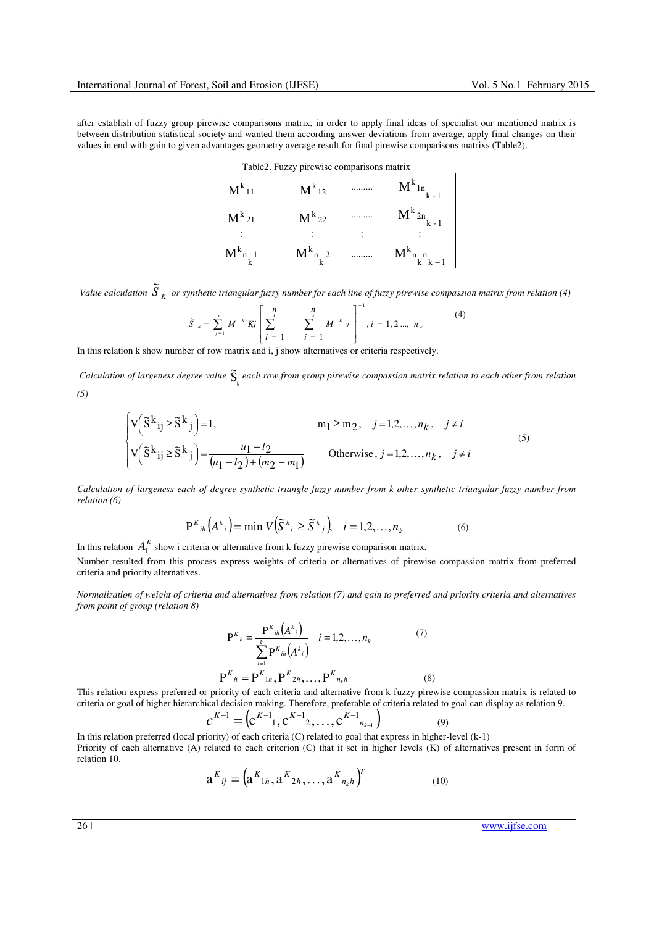after establish of fuzzy group pirewise comparisons matrix, in order to apply final ideas of specialist our mentioned matrix is between distribution statistical society and wanted them according answer deviations from average, apply final changes on their values in end with gain to given advantages geometry average result for final pirewise comparisons matrixs (Table2).

Table2. Fuzzy pirewise comparisons matrix

$$
M^{k_{11}} \t M^{k_{12}} \t M^{k_{12}} \t M^{k_{1n}}_{k-1}
$$
  
\n
$$
M^{k_{21}} \t M^{k_{22}} \t M^{k_{2n}}_{k-1}
$$
  
\n
$$
M^{k_{n}}_{k_{1}} \t M^{k_{n}}_{k^{2}} \t M^{k_{n}}_{k-1}
$$

*Value calculation*  $\widetilde{S}_K$  or synthetic triangular fuzzy number for each line of fuzzy pirewise compassion matrix from relation (4) 1 −

$$
\widetilde{S}_{K} = \sum_{j=1}^{n} M^{K} K j \left[ \sum_{i=1}^{n} \sum_{j=1}^{n} M^{K} u \right]^{-1}, i = 1, 2 ..., n_{k}
$$
 (4)

In this relation k show number of row matrix and i, j show alternatives or criteria respectively.

*Calculation of largeness degree value*  $\tilde{S}_k$  each row from group pirewise compassion matrix relation to each other from relation

$$
(5)
$$

$$
\begin{cases}\n\mathbf{v}\left(\tilde{\mathbf{S}}^{k}\mathbf{i}\mathbf{j}\geq\tilde{\mathbf{S}}^{k}\mathbf{j}\right)=1, & m_{1}\geq m_{2}, \quad j=1,2,\ldots,n_{k}, \quad j\neq i \\
\mathbf{v}\left(\tilde{\mathbf{S}}^{k}\mathbf{i}\mathbf{j}\geq\tilde{\mathbf{S}}^{k}\mathbf{j}\right)=\frac{u_{1}-l_{2}}{(u_{1}-l_{2})+(m_{2}-m_{1})} & \text{Otherwise}, \quad j=1,2,\ldots,n_{k}, \quad j\neq i\n\end{cases}
$$
\n(5)

*Calculation of largeness each of degree synthetic triangle fuzzy number from k other synthetic triangular fuzzy number from relation (6)* 

$$
P^{K}_{ih}(A^{k}_{i}) = \min V(\tilde{S}^{k}_{i} \ge \tilde{S}^{k}_{j}), \quad i = 1, 2, \dots, n_{k}
$$
 (6)

In this relation  $A_1^K$  show i criteria or alternative from k fuzzy pirewise comparison matrix. Number resulted from this process express weights of criteria or alternatives of pirewise compassion matrix from preferred criteria and priority alternatives.

*Normalization of weight of criteria and alternatives from relation (7) and gain to preferred and priority criteria and alternatives from point of group (relation 8)* 

$$
P^{K}{}_{h} = \frac{P^{K}{}_{ih}(A^{k}{}_{i})}{\sum_{i=1}^{k} P^{K}{}_{ih}(A^{k}{}_{i})} \quad i = 1, 2, ..., n_{k}
$$
(7)  

$$
P^{K}{}_{h} = P^{K}{}_{1h}, P^{K}{}_{2h}, ..., P^{K}{}_{n_{k}h}
$$
(8)

This relation express preferred or priority of each criteria and alternative from k fuzzy pirewise compassion matrix is related to criteria or goal of higher hierarchical decision making. Therefore, preferable of criteria related to goal can display as relation 9.

$$
c^{K-1} = (c^{K-1}, c^{K-1}, \ldots, c^{K-1}, \ldots, c^{K-1})
$$
\n(9)

In this relation preferred (local priority) of each criteria (C) related to goal that express in higher-level (k-1) Priority of each alternative (A) related to each criterion (C) that it set in higher levels (K) of alternatives present in form of relation 10.

$$
a^{K}_{ij} = (a^{K}_{1h}, a^{K}_{2h}, \dots, a^{K}_{n_k h})^{T}
$$
 (10)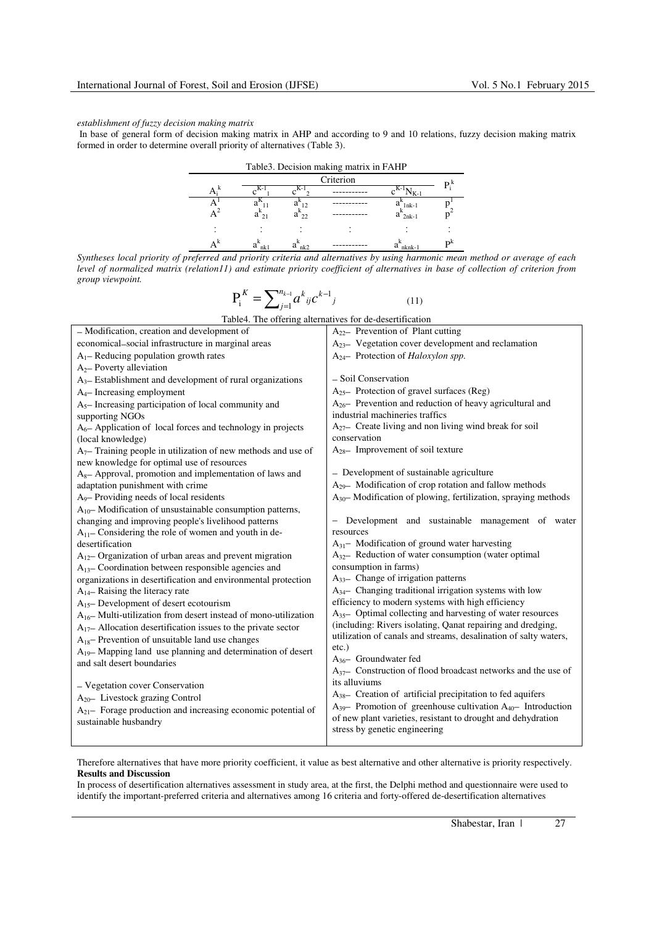### *establishment of fuzzy decision making matrix*

In base of general form of decision making matrix in AHP and according to 9 and 10 relations, fuzzy decision making matrix formed in order to determine overall priority of alternatives (Table 3).

| Table3. Decision making matrix in FAHP |                    |                 |           |                           |    |  |  |  |  |
|----------------------------------------|--------------------|-----------------|-----------|---------------------------|----|--|--|--|--|
|                                        |                    |                 | Criterion |                           | P. |  |  |  |  |
|                                        |                    |                 |           |                           |    |  |  |  |  |
|                                        |                    |                 |           | a<br>$1nk-1$              |    |  |  |  |  |
|                                        | a<br>$\mathcal{D}$ | a <sub>22</sub> |           | a <sup>-</sup><br>$2nk-1$ |    |  |  |  |  |
|                                        |                    |                 |           |                           |    |  |  |  |  |
|                                        | nk l               | nk2             |           | nknk-                     | nК |  |  |  |  |

*Syntheses local priority of preferred and priority criteria and alternatives by using harmonic mean method or average of each level of normalized matrix (relation11) and estimate priority coefficient of alternatives in base of collection of criterion from group viewpoint.* 

$$
P_i^{K} = \sum_{j=1}^{n_{k-1}} a^k_{ij} c^{k-1}_{j}
$$
 (11)

| Table4. The offering alternatives for de-desertification                |                                                                    |
|-------------------------------------------------------------------------|--------------------------------------------------------------------|
| - Modification, creation and development of                             | $A_{22}$ Prevention of Plant cutting                               |
| economical-social infrastructure in marginal areas                      | $A_{23}$ Vegetation cover development and reclamation              |
| $A_1$ - Reducing population growth rates                                | $A_{24}$ Protection of Haloxylon spp.                              |
| $A_2$ - Poverty alleviation                                             |                                                                    |
| $A3$ Establishment and development of rural organizations               | - Soil Conservation                                                |
| $A_4$ - Increasing employment                                           | $A_{25}$ Protection of gravel surfaces (Reg)                       |
| $A5$ - Increasing participation of local community and                  | $A_{26}$ Prevention and reduction of heavy agricultural and        |
| supporting NGOs                                                         | industrial machineries traffics                                    |
| A <sub>6</sub> - Application of local forces and technology in projects | $A_{27}$ Create living and non living wind break for soil          |
| (local knowledge)                                                       | conservation                                                       |
| $A7$ Training people in utilization of new methods and use of           | $A_{28}$ - Improvement of soil texture                             |
| new knowledge for optimal use of resources                              |                                                                    |
| $A_8$ - Approval, promotion and implementation of laws and              | - Development of sustainable agriculture                           |
| adaptation punishment with crime                                        | A <sub>29</sub> Modification of crop rotation and fallow methods   |
| A <sub>9</sub> Providing needs of local residents                       | $A_{30}$ Modification of plowing, fertilization, spraying methods  |
| $A_{10}$ — Modification of unsustainable consumption patterns,          |                                                                    |
| changing and improving people's livelihood patterns                     | - Development and sustainable management of water                  |
| $A_{11}$ – Considering the role of women and youth in de-               | resources                                                          |
| desertification                                                         | $A_{31}$ Modification of ground water harvesting                   |
| $A_{12}$ - Organization of urban areas and prevent migration            | $A_{32}$ Reduction of water consumption (water optimal             |
| $A_{13}$ – Coordination between responsible agencies and                | consumption in farms)                                              |
| organizations in desertification and environmental protection           | $A_{33}$ - Change of irrigation patterns                           |
| $A_{14}$ - Raising the literacy rate                                    | $A_{34}$ Changing traditional irrigation systems with low          |
| A <sub>15</sub> -Development of desert ecotourism                       | efficiency to modern systems with high efficiency                  |
| $A_{16}$ - Multi-utilization from desert instead of mono-utilization    | $A_{35}$ - Optimal collecting and harvesting of water resources    |
| $A_{17}$ Allocation desertification issues to the private sector        | (including: Rivers isolating, Qanat repairing and dredging,        |
| $A_{18}$ Prevention of unsuitable land use changes                      | utilization of canals and streams, desalination of salty waters,   |
| $A_{19}$ - Mapping land use planning and determination of desert        | $etc.$ )<br>$A_{36}$ Groundwater fed                               |
| and salt desert boundaries                                              | $A_{37}$ Construction of flood broadcast networks and the use of   |
|                                                                         | its alluviums                                                      |
| - Vegetation cover Conservation                                         | $A_{38}$ Creation of artificial precipitation to fed aquifers      |
| $A_{20}$ Livestock grazing Control                                      | $A_{39}$ Promotion of greenhouse cultivation $A_{40}$ Introduction |
| $A_{21}$ Forage production and increasing economic potential of         | of new plant varieties, resistant to drought and dehydration       |
| sustainable husbandry                                                   | stress by genetic engineering                                      |
|                                                                         |                                                                    |

Therefore alternatives that have more priority coefficient, it value as best alternative and other alternative is priority respectively. **Results and Discussion** 

In process of desertification alternatives assessment in study area, at the first, the Delphi method and questionnaire were used to identify the important-preferred criteria and alternatives among 16 criteria and forty-offered de-desertification alternatives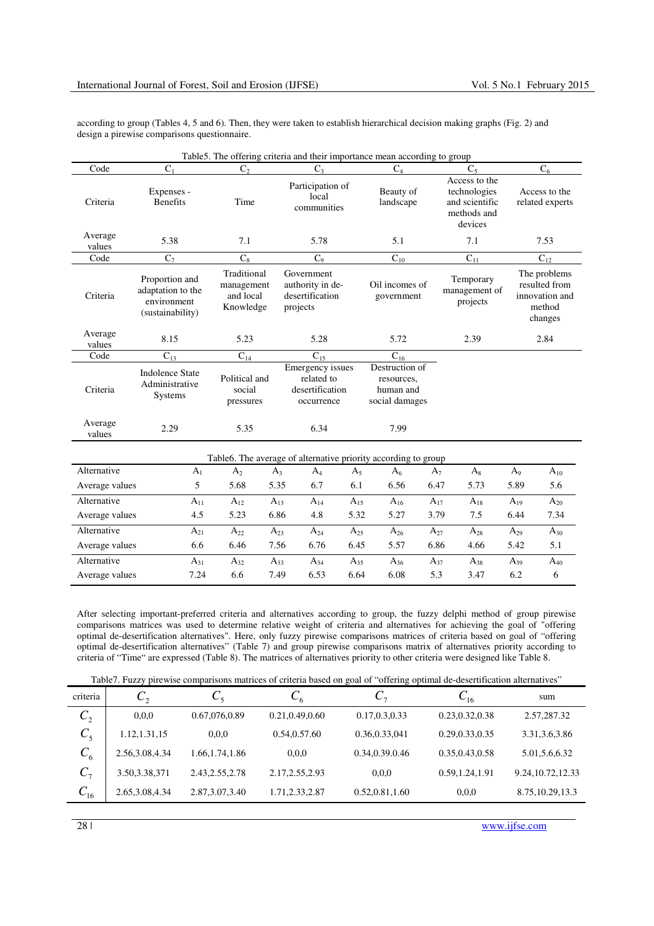according to group (Tables 4, 5 and 6). Then, they were taken to establish hierarchical decision making graphs (Fig. 2) and design a pirewise comparisons questionnaire.

|                   |                                                                                                                                                                                                |                                      | Table 5. The offering criteria and their importance mean according to group |                                        |                                                                      |                                                                           |                                  |  |
|-------------------|------------------------------------------------------------------------------------------------------------------------------------------------------------------------------------------------|--------------------------------------|-----------------------------------------------------------------------------|----------------------------------------|----------------------------------------------------------------------|---------------------------------------------------------------------------|----------------------------------|--|
| Code              | $C_1$                                                                                                                                                                                          | $C_{2}$                              | $C_3$                                                                       |                                        | $C_4$                                                                | $C_5$                                                                     | $C_6$                            |  |
| Criteria          | Expenses -<br><b>Benefits</b>                                                                                                                                                                  | Time                                 | local<br>communities                                                        | Participation of                       |                                                                      | Access to the<br>technologies<br>and scientific<br>methods and<br>devices | Access to the<br>related experts |  |
| Average<br>values | 5.38                                                                                                                                                                                           | 7.1                                  | 5.78                                                                        |                                        | 5.1                                                                  | 7.1                                                                       | 7.53                             |  |
| Code              | $C_7$                                                                                                                                                                                          | $C_8$                                | C <sub>9</sub>                                                              |                                        | $C_{10}$                                                             | $C_{11}$                                                                  | $C_{12}$                         |  |
| Criteria          | Traditional<br>Government<br>Proportion and<br>authority in de-<br>management<br>adaptation to the<br>and local<br>desertification<br>environment<br>Knowledge<br>projects<br>(sustainability) |                                      | Oil incomes of<br>government                                                | Temporary<br>management of<br>projects | The problems<br>resulted from<br>innovation and<br>method<br>changes |                                                                           |                                  |  |
| Average<br>values | 8.15                                                                                                                                                                                           | 5.23                                 | 5.28                                                                        |                                        | 5.72                                                                 | 2.39                                                                      | 2.84                             |  |
| Code              | $C_{13}$                                                                                                                                                                                       | $C_{14}$                             | $C_{15}$                                                                    |                                        | $C_{16}$                                                             |                                                                           |                                  |  |
| Criteria          | <b>Indolence State</b><br>Administrative<br>Systems                                                                                                                                            | Political and<br>social<br>pressures | Emergency issues<br>related to<br>desertification<br>occurrence             |                                        | Destruction of<br>resources,<br>human and<br>social damages          |                                                                           |                                  |  |
| Average<br>values | 2.29                                                                                                                                                                                           | 5.35                                 | 6.34                                                                        |                                        | 7.99                                                                 |                                                                           |                                  |  |
|                   |                                                                                                                                                                                                |                                      | Table 6. The average of alternative priority according to group             |                                        |                                                                      |                                                                           |                                  |  |
| Alternative       | A <sub>1</sub>                                                                                                                                                                                 | A <sub>2</sub>                       | $A_4$<br>$A_3$                                                              | $A_5$                                  | $A_6$                                                                | $A_7$<br>$A_8$                                                            | $A_{10}$<br>$A_9$                |  |
| Average values    | 5                                                                                                                                                                                              | 5.68                                 | 5.35<br>6.7                                                                 | 6.1                                    | 6.56                                                                 | 5.73<br>6.47                                                              | 5.6<br>5.89                      |  |
| Alternative       | $A_{11}$                                                                                                                                                                                       | $A_{12}$                             | $A_{13}$<br>$\rm A_{14}$                                                    | $A_{15}$                               | $A_{16}$                                                             | $\rm A_{17}$<br>$A_{18}$                                                  | $A_{19}$<br>$A_{20}$             |  |
| Average values    | 4.5                                                                                                                                                                                            | 5.23                                 | 6.86<br>4.8                                                                 | 5.32                                   | 5.27                                                                 | 3.79<br>7.5                                                               | 6.44<br>7.34                     |  |
| Alternative       | $A_{21}$                                                                                                                                                                                       | $A_{22}$                             | $A_{23}$<br>$A_{24}$                                                        | $A_{25}$                               | $A_{26}$                                                             | $\rm A_{27}$<br>$\rm A_{28}$                                              | $A_{29}$<br>$A_{30}$             |  |

After selecting important-preferred criteria and alternatives according to group, the fuzzy delphi method of group pirewise comparisons matrices was used to determine relative weight of criteria and alternatives for achieving the goal of "offering optimal de-desertification alternatives". Here, only fuzzy pirewise comparisons matrices of criteria based on goal of "offering optimal de-desertification alternatives" (Table 7) and group pirewise comparisons matrix of alternatives priority according to criteria of "Time" are expressed (Table 8). The matrices of alternatives priority to other criteria were designed like Table 8.

Average values 6.6 6.46 7.56 6.76 6.45 5.57 6.86 4.66 5.42 5.1 Alternative  $A_{31}$   $A_{32}$   $A_{33}$   $A_{34}$   $A_{35}$   $A_{36}$   $A_{37}$   $A_{38}$   $A_{39}$   $A_{40}$ Average values 7.24 6.6 7.49 6.53 6.64 6.08 5.3 3.47 6.2 6

|  |  |  |  |  |  | Table7. Fuzzy pirewise comparisons matrices of criteria based on goal of "offering optimal de-desertification alternatives" |
|--|--|--|--|--|--|-----------------------------------------------------------------------------------------------------------------------------|
|--|--|--|--|--|--|-----------------------------------------------------------------------------------------------------------------------------|

| criteria               | $C_{2}$         | $C_{5}$          | $C_6$            | $\mathsf{C}_{7}$ | $C_{16}$         | sum                |
|------------------------|-----------------|------------------|------------------|------------------|------------------|--------------------|
| $\mathcal{C}^{\,}_{2}$ | 0.0.0           | 0.67,076,0.89    | 0.21,0.49,0.60   | 0.17, 0.3, 0.33  | 0.23, 0.32, 0.38 | 2.57,287.32        |
| $C_5$                  | 1.12, 1.31, 15  | 0.0.0            | 0.54,0.57.60     | 0.36, 0.33, 041  | 0.29, 0.33, 0.35 | 3.31, 3.6, 3.86    |
| $C_6$                  | 2.56,3.08,4.34  | 1.66, 1.74, 1.86 | 0.0.0            | 0.34,0.39.0.46   | 0.35, 0.43, 0.58 | 5.01, 5.6, 6.32    |
| $C_7$                  | 3.50, 3.38, 371 | 2.43, 2.55, 2.78 | 2.17, 2.55, 2.93 | 0.0.0            | 0.59, 1.24, 1.91 | 9.24, 10.72, 12.33 |
| $C_{16}$               | 2.65,3.08,4.34  | 2.87, 3.07, 3.40 | 1.71,2.33,2.87   | 0.52, 0.81, 1.60 | 0.0,0            | 8.75, 10.29, 13.3  |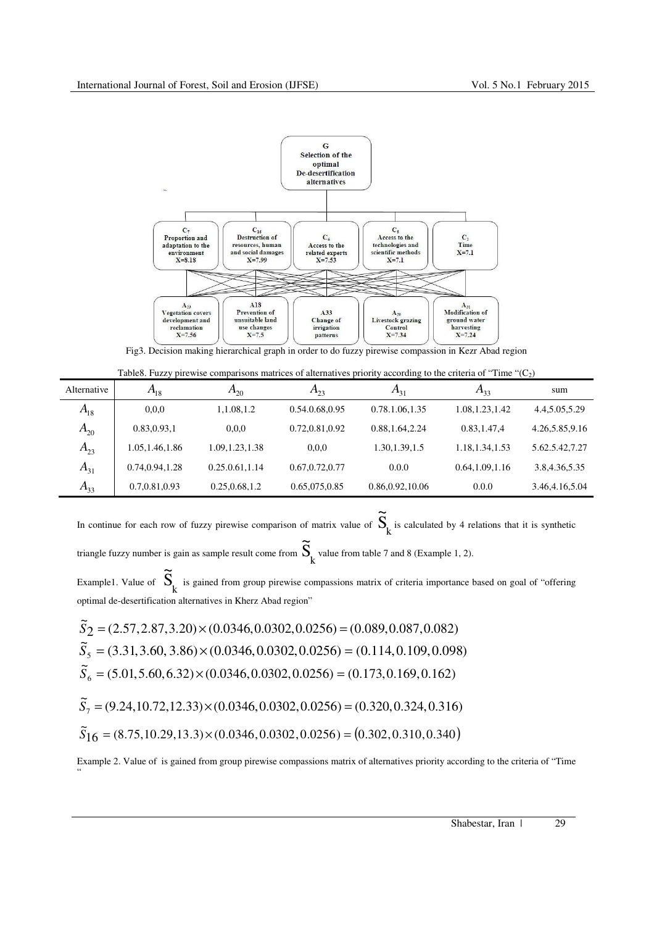

Fig3. Decision making hierarchical graph in order to do fuzzy pirewise compassion in Kezr Abad region

| Table 8. Fuzzy pirewise comparisons matrices of alternatives priority according to the criteria of "Time " $(C_2)$ " |  |
|----------------------------------------------------------------------------------------------------------------------|--|
|----------------------------------------------------------------------------------------------------------------------|--|

| Alternative | $A_{18}$         | $A_{20}$         | $A_{23}$         | $A_{31}$          | $A_{33}$         | sum             |
|-------------|------------------|------------------|------------------|-------------------|------------------|-----------------|
| $A_{18}$    | 0.0,0            | 1,1.08,1.2       | 0.54.0.68,0.95   | 0.78.1.06,1.35    | 1.08, 1.23, 1.42 | 4.4, 5.05, 5.29 |
| $A_{20}$    | 0.83, 0.93, 1    | 0.0.0            | 0.72,0.81,0.92   | 0.88, 1.64, 2.24  | 0.83, 1.47, 4    | 4.26,5.85,9.16  |
| $A_{23}$    | 1.05, 1.46, 1.86 | 1.09, 1.23, 1.38 | 0.0.0            | 1.30, 1.39, 1.5   | 1.18, 1.34, 1.53 | 5.62.5.42,7.27  |
| $A_{31}$    | 0.74, 0.94, 1.28 | 0.25.0.61,1.14   | 0.67, 0.72, 0.77 | 0.0.0             | 0.64, 1.09, 1.16 | 3.8,4.36,5.35   |
| $A_{33}$    | 0.7,0.81,0.93    | 0.25, 0.68, 1.2  | 0.65,075,0.85    | 0.86, 0.92, 10.06 | 0.0.0            | 3.46,4.16,5.04  |

In continue for each row of fuzzy pirewise comparison of matrix value of  $S_k$  $\tilde{\Omega}$ is calculated by 4 relations that it is synthetic  $\tilde{\Omega}$ 

triangle fuzzy number is gain as sample result come from  $\mathcal{S}_{\mathbf{k}}^{\phantom{\dag}}$ value from table 7 and 8 (Example 1, 2).

Example1. Value of  $S_k$  $\tilde{\Omega}$  is gained from group pirewise compassions matrix of criteria importance based on goal of "offering optimal de-desertification alternatives in Kherz Abad region"

$$
\begin{aligned}\n\tilde{S}_2 &= (2.57, 2.87, 3.20) \times (0.0346, 0.0302, 0.0256) = (0.089, 0.087, 0.082) \\
\tilde{S}_5 &= (3.31, 3.60, 3.86) \times (0.0346, 0.0302, 0.0256) = (0.114, 0.109, 0.098) \\
\tilde{S}_6 &= (5.01, 5.60, 6.32) \times (0.0346, 0.0302, 0.0256) = (0.173, 0.169, 0.162) \\
\tilde{S}_7 &= (9.24, 10.72, 12.33) \times (0.0346, 0.0302, 0.0256) = (0.320, 0.324, 0.316) \\
\tilde{S}_16 &= (8.75, 10.29, 13.3) \times (0.0346, 0.0302, 0.0256) = (0.302, 0.310, 0.340)\n\end{aligned}
$$

"

Example 2. Value of is gained from group pirewise compassions matrix of alternatives priority according to the criteria of "Time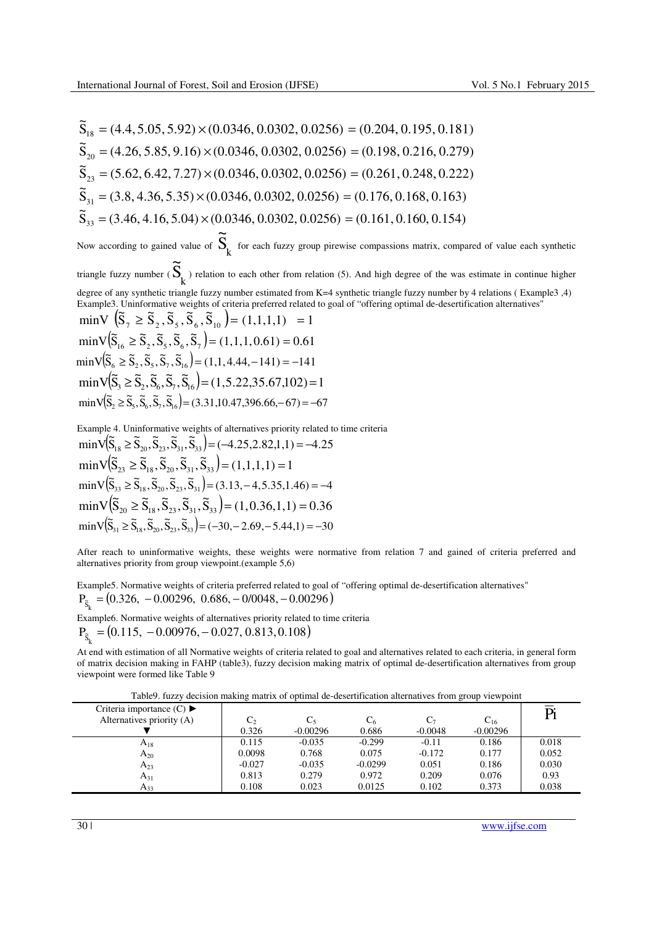$\widetilde{S}_{18} = (4.4, 5.05, 5.92) \times (0.0346, 0.0302, 0.0256) = (0.204, 0.195, 0.181)$  $\widetilde{\mathbf{S}}_{20} = (4.26, 5.85, 9.16) \times (0.0346, 0.0302, 0.0256) = (0.198, 0.216, 0.279)$  $\widetilde{\mathbf{S}}_{23} = (5.62, 6.42, 7.27) \times (0.0346, 0.0302, 0.0256) = (0.261, 0.248, 0.222)$  $\widetilde{S}_{31} = (3.8, 4.36, 5.35) \times (0.0346, 0.0302, 0.0256) = (0.176, 0.168, 0.163)$  $\widetilde{\mathbf{S}}_{33} = (3.46, 4.16, 5.04) \times (0.0346, 0.0302, 0.0256) = (0.161, 0.160, 0.154)$ Now according to gained value of  $S_k$  $\tilde{\Omega}$  for each fuzzy group pirewise compassions matrix, compared of value each synthetic triangle fuzzy number ( $S_k^{\phantom{\dagger}}$  $\tilde{\Omega}$ ) relation to each other from relation (5). And high degree of the was estimate in continue higher degree of any synthetic triangle fuzzy number estimated from K=4 synthetic triangle fuzzy number by 4 relations ( Example3 ,4) Example3. Uninformative weights of criteria preferred related to goal of "offering optimal de-desertification alternatives"  $\min V\left( \tilde{S}_7 \geq \tilde{S}_2, \tilde{S}_5, \tilde{S}_6, \tilde{S}_{10} \right) = (1,1,1,1) = 1$  $\min V(\tilde{S}_{16} \ge \tilde{S}_2, \tilde{S}_5, \tilde{S}_6, \tilde{S}_7) = (1, 1, 1, 0.61) = 0.61$  $\min V(\tilde{S}_6 \ge \tilde{S}_2, \tilde{S}_5, \tilde{S}_7, \tilde{S}_{16}) = (1, 1, 4.44, -141) = -141$  $\min \sqrt{S_3} \geq \widetilde{S}_2, \widetilde{S}_6, \widetilde{S}_7, \widetilde{S}_{16} = (1, 5.22, 35.67, 102) = 1$  $\min V(\tilde{S}_2 \ge \tilde{S}_5, \tilde{S}_6, \tilde{S}_7, \tilde{S}_16) = (3.31, 10.47, 396.66, -67) = -67$ 

Example 4. Uninformative weights of alternatives priority related to time criteria  
\n
$$
\min \sqrt{S}_{18} \ge \widetilde{S}_{20}, \widetilde{S}_{23}, \widetilde{S}_{31}, \widetilde{S}_{33}\n= (-4.25, 2.82, 1, 1) = -4.25
$$
  
\n $\min \sqrt{S}_{23} \ge \widetilde{S}_{18}, \widetilde{S}_{20}, \widetilde{S}_{31}, \widetilde{S}_{33}\n= (1, 1, 1, 1) = 1$   
\n $\min \sqrt{S}_{33} \ge \widetilde{S}_{18}, \widetilde{S}_{20}, \widetilde{S}_{23}, \widetilde{S}_{31}\n= (3.13, -4, 5.35, 1.46) = -4$   
\n $\min \sqrt{S}_{20} \ge \widetilde{S}_{18}, \widetilde{S}_{23}, \widetilde{S}_{31}, \widetilde{S}_{33}\n= (1, 0.36, 1, 1) = 0.36$   
\n $\min \sqrt{S}_{31} \ge \widetilde{S}_{18}, \widetilde{S}_{20}, \widetilde{S}_{23}, \widetilde{S}_{33}\n= (-30, -2.69, -5.44, 1) = -30$ 

After reach to uninformative weights, these weights were normative from relation 7 and gained of criteria preferred and alternatives priority from group viewpoint.(example 5,6)

Example5. Normative weights of criteria preferred related to goal of "offering optimal de-desertification alternatives"  $P_{\tilde{s}_k} = (0.326, -0.00296, 0.686, -0/0048, -0.00296)$ 

Example6. Normative weights of alternatives priority related to time criteria  $P_{\tilde{S}_k} = (0.115, -0.00976, -0.027, 0.813, 0.108)$ 

At end with estimation of all Normative weights of criteria related to goal and alternatives related to each criteria, in general form of matrix decision making in FAHP (table3), fuzzy decision making matrix of optimal de-desertification alternatives from group viewpoint were formed like Table 9

|  |  | Table9. fuzzy decision making matrix of optimal de-desertification alternatives from group viewpoint |  |  |  |  |  |  |
|--|--|------------------------------------------------------------------------------------------------------|--|--|--|--|--|--|
|  |  |                                                                                                      |  |  |  |  |  |  |

| Criteria importance $(C) \blacktriangleright$<br>Alternatives priority (A) | しっ<br>0.326 | $-0.00296$ | $\mathrm{C}_6$<br>0.686 | $C_{7}$<br>$-0.0048$ | $\mathrm{C_{16}}$<br>$-0.00296$ | Pi    |
|----------------------------------------------------------------------------|-------------|------------|-------------------------|----------------------|---------------------------------|-------|
| $A_{18}$                                                                   | 0.115       | $-0.035$   | $-0.299$                | $-0.11$              | 0.186                           | 0.018 |
| $A_{20}$                                                                   | 0.0098      | 0.768      | 0.075                   | $-0.172$             | 0.177                           | 0.052 |
| $A_{23}$                                                                   | $-0.027$    | $-0.035$   | $-0.0299$               | 0.051                | 0.186                           | 0.030 |
| $A_{31}$                                                                   | 0.813       | 0.279      | 0.972                   | 0.209                | 0.076                           | 0.93  |
| $A_{33}$                                                                   | 0.108       | 0.023      | 0.0125                  | 0.102                | 0.373                           | 0.038 |